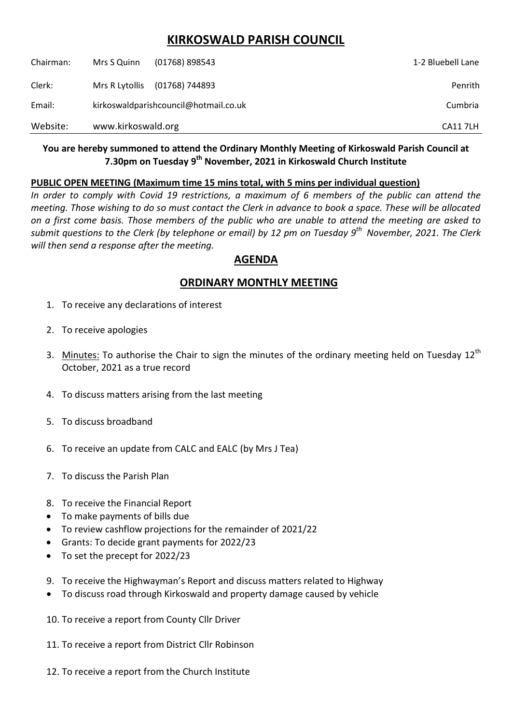# **KIRKOSWALD PARISH COUNCIL**

| Chairman: | Mrs S Quinn                           | $(01768)$ 898543 | 1-2 Bluebell Lane |
|-----------|---------------------------------------|------------------|-------------------|
| Clerk:    | Mrs R Lytollis                        | (01768) 744893   | Penrith           |
| Email:    | kirkoswaldparishcouncil@hotmail.co.uk |                  | Cumbria           |
| Website:  | www.kirkoswald.org                    |                  | <b>CA117LH</b>    |

### **You are hereby summoned to attend the Ordinary Monthly Meeting of Kirkoswald Parish Council at 7.30pm on Tuesday 9 th November, 2021 in Kirkoswald Church Institute**

#### **PUBLIC OPEN MEETING (Maximum time 15 mins total, with 5 mins per individual question)**

*In order to comply with Covid 19 restrictions, a maximum of 6 members of the public can attend the meeting. Those wishing to do so must contact the Clerk in advance to book a space. These will be allocated on a first come basis. Those members of the public who are unable to attend the meeting are asked to submit questions to the Clerk (by telephone or email) by 12 pm on Tuesday 9 th November, 2021. The Clerk will then send a response after the meeting.*

## **AGENDA**

## **ORDINARY MONTHLY MEETING**

- 1. To receive any declarations of interest
- 2. To receive apologies
- 3. Minutes: To authorise the Chair to sign the minutes of the ordinary meeting held on Tuesday 12<sup>th</sup> October, 2021 as a true record
- 4. To discuss matters arising from the last meeting
- 5. To discuss broadband
- 6. To receive an update from CALC and EALC (by Mrs J Tea)
- 7. To discuss the Parish Plan
- 8. To receive the Financial Report
- To make payments of bills due
- To review cashflow projections for the remainder of 2021/22
- Grants: To decide grant payments for 2022/23
- To set the precept for 2022/23
- 9. To receive the Highwayman's Report and discuss matters related to Highway
- To discuss road through Kirkoswald and property damage caused by vehicle
- 10. To receive a report from County Cllr Driver
- 11. To receive a report from District Cllr Robinson
- 12. To receive a report from the Church Institute